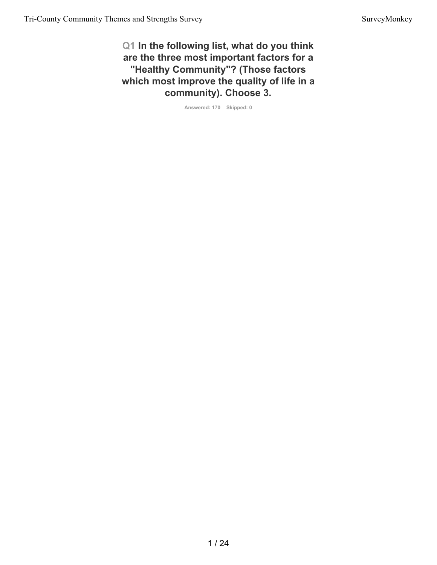**Q1 In the following list, what do you think are the three most important factors for a "Healthy Community"? (Those factors which most improve the quality of life in a community). Choose 3.**

**Answered: 170 Skipped: 0**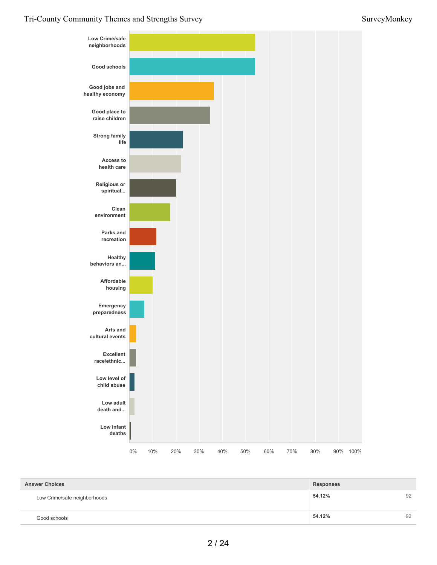

| <b>Answer Choices</b>        | <b>Responses</b> |    |
|------------------------------|------------------|----|
| Low Crime/safe neighborhoods | 54.12%           | 92 |
| Good schools                 | 54.12%           | 92 |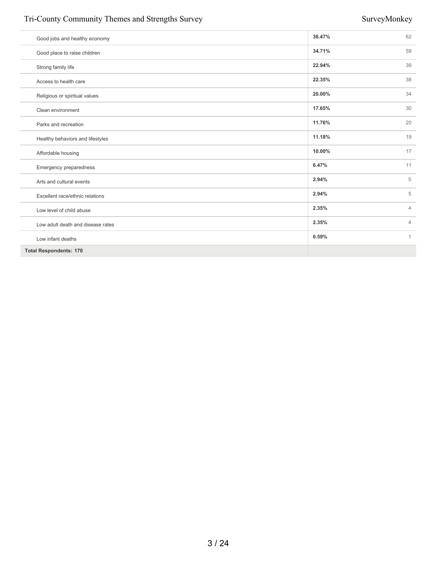# Tri-County Community Themes and Strengths Survey Survey Survey Survey Survey Survey Survey Survey Survey Survey Survey Survey Survey Survey Survey Survey Survey Survey Survey Survey Survey Survey Survey Survey Survey Surve

| Good jobs and healthy economy     | 36.47% | 62             |
|-----------------------------------|--------|----------------|
| Good place to raise children      | 34.71% | 59             |
| Strong family life                | 22.94% | 39             |
| Access to health care             | 22.35% | 38             |
| Religious or spiritual values     | 20.00% | 34             |
| Clean environment                 | 17.65% | 30             |
| Parks and recreation              | 11.76% | 20             |
| Healthy behaviors and lifestyles  | 11.18% | 19             |
| Affordable housing                | 10.00% | 17             |
| Emergency preparedness            | 6.47%  | 11             |
| Arts and cultural events          | 2.94%  | 5              |
| Excellent race/ethnic relations   | 2.94%  | 5              |
| Low level of child abuse          | 2.35%  | $\overline{4}$ |
| Low adult death and disease rates | 2.35%  | $\overline{4}$ |
| Low infant deaths                 | 0.59%  | 1              |
| <b>Total Respondents: 170</b>     |        |                |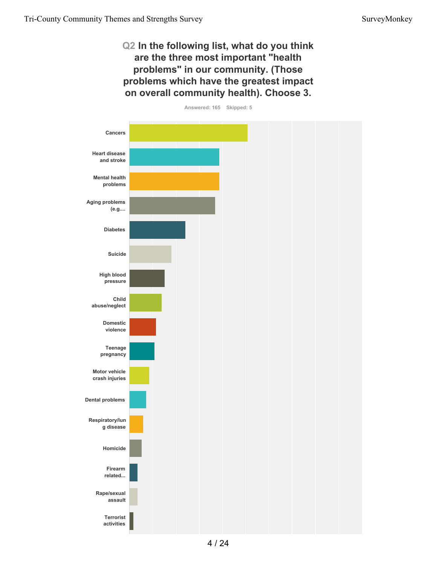# **Q2 In the following list, what do you think are the three most important "health problems" in our community. (Those problems which have the greatest impact on overall community health). Choose 3.**

**Answered: 165 Skipped: 5**

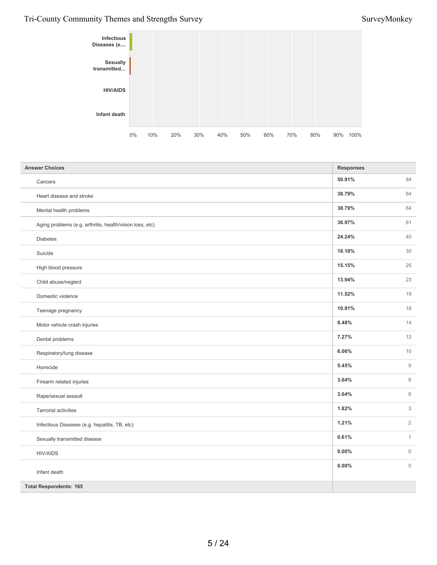## Tri-County Community Themes and Strengths Survey Survey Survey Survey Survey Survey Survey Survey Survey Survey Survey Survey Survey Survey Survey Survey Survey Survey Survey Survey Survey Survey Survey Survey Survey Surve



| <b>Answer Choices</b>                                    | <b>Responses</b> |                     |
|----------------------------------------------------------|------------------|---------------------|
| Cancers                                                  | 50.91%           | 84                  |
| Heart disease and stroke                                 | 38.79%           | 64                  |
| Mental health problems                                   | 38.79%           | 64                  |
| Aging problems (e.g. arthritis, health/vision loss, etc) | 36.97%           | 61                  |
| Diabetes                                                 | 24.24%           | 40                  |
| Suicide                                                  | 18.18%           | 30                  |
| High blood pressure                                      | 15.15%           | 25                  |
| Child abuse/neglect                                      | 13.94%           | 23                  |
| Domestic violence                                        | 11.52%           | 19                  |
| Teenage pregnancy                                        | 10.91%           | 18                  |
| Motor vehicle crash injuries                             | 8.48%            | 14                  |
| Dental problems                                          | 7.27%            | 12                  |
| Respiratory/lung disease                                 | 6.06%            | 10                  |
| Homicide                                                 | 5.45%            | $\mathsf g$         |
| Firearm related injuries                                 | 3.64%            | $6\,$               |
| Rape/sexual assault                                      | 3.64%            | $\,6\,$             |
| Terrorist activities                                     | 1.82%            | 3                   |
| Infectious Diseases (e.g. hepatitis, TB, etc)            | 1.21%            | $\sqrt{2}$          |
| Sexually transmitted disease                             | 0.61%            | $\mathbf{1}$        |
| <b>HIV/AIDS</b>                                          | $0.00\%$         | $\mathsf{O}\xspace$ |
| Infant death                                             | 0.00%            | $\mathbf{0}$        |
| <b>Total Respondents: 165</b>                            |                  |                     |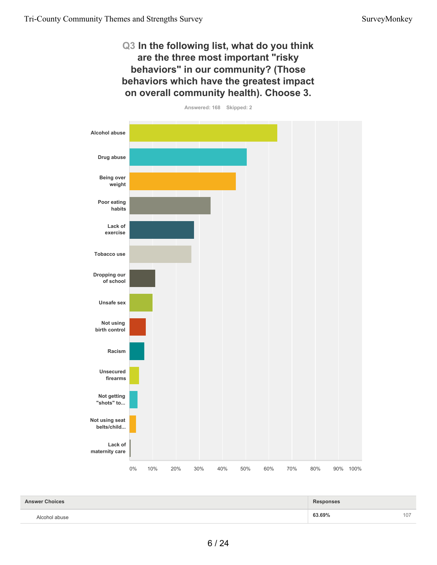# **Q3 In the following list, what do you think are the three most important "risky behaviors" in our community? (Those behaviors which have the greatest impact on overall community health). Choose 3.**



| <b>Answer Choices</b> | <b>Responses</b> |     |
|-----------------------|------------------|-----|
| Alcohol abuse         | 63.69%           | 107 |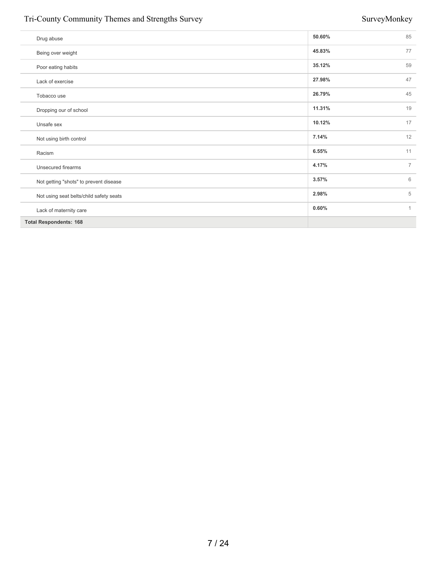# Tri-County Community Themes and Strengths Survey Survey Survey Survey Survey Survey Survey Survey Survey Survey Survey Survey Survey Survey Survey Survey Survey Survey Survey Survey Survey Survey Survey Survey Survey Surve

| Drug abuse                              | 50.60% | 85             |
|-----------------------------------------|--------|----------------|
| Being over weight                       | 45.83% | 77             |
| Poor eating habits                      | 35.12% | 59             |
| Lack of exercise                        | 27.98% | 47             |
| Tobacco use                             | 26.79% | 45             |
| Dropping our of school                  | 11.31% | 19             |
| Unsafe sex                              | 10.12% | 17             |
| Not using birth control                 | 7.14%  | 12             |
| Racism                                  | 6.55%  | 11             |
| Unsecured firearms                      | 4.17%  | $\overline{7}$ |
| Not getting "shots" to prevent disease  | 3.57%  | 6              |
| Not using seat belts/child safety seats | 2.98%  | 5              |
| Lack of maternity care                  | 0.60%  | $\mathbf{1}$   |
| <b>Total Respondents: 168</b>           |        |                |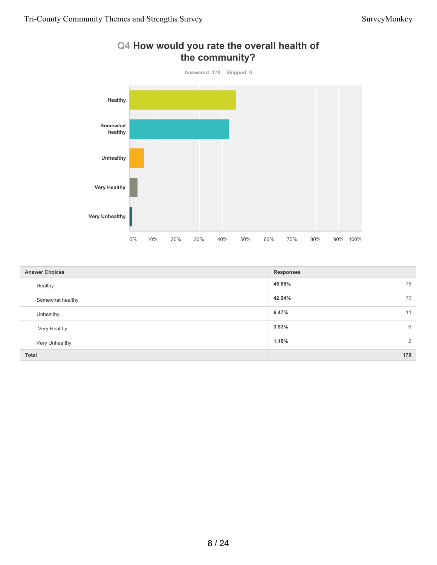

| <b>Answer Choices</b> | <b>Responses</b>        |
|-----------------------|-------------------------|
| Healthy               | 45.88%<br>78            |
| Somewhat healthy      | 73<br>42.94%            |
| Unhealthy             | 6.47%<br>11             |
| Very Healthy          | 3.53%<br>6              |
| Very Unhealthy        | $\overline{2}$<br>1.18% |
| <b>Total</b>          | 170                     |

# **Q4 How would you rate the overall health of**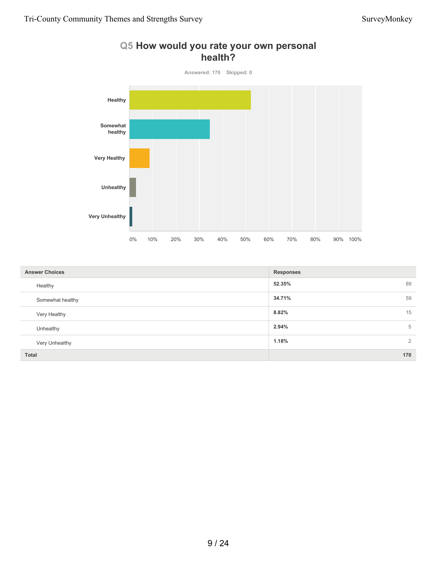# **health? Answered: 170 Skipped: 0 Healthy Somewhat healthy Very Healthy Unhealthy Very Unhealthy** 0% 10% 20% 30% 40% 50% 60% 70% 80% 90% 100%

| <b>Answer Choices</b> | <b>Responses</b>        |
|-----------------------|-------------------------|
| Healthy               | 52.35%<br>89            |
| Somewhat healthy      | 59<br>34.71%            |
| Very Healthy          | 15<br>8.82%             |
| Unhealthy             | 2.94%<br>5              |
| Very Unhealthy        | $\overline{2}$<br>1.18% |
| <b>Total</b>          | 170                     |

# **Q5 How would you rate your own personal**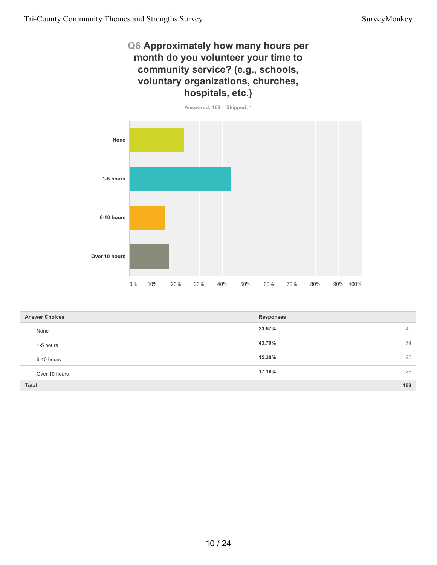# **Q6 Approximately how many hours per month do you volunteer your time to community service? (e.g., schools, voluntary organizations, churches, hospitals, etc.)**



| <b>Answer Choices</b> | <b>Responses</b> |
|-----------------------|------------------|
| None                  | 40<br>23.67%     |
| 1-5 hours             | 43.79%<br>74     |
| 6-10 hours            | 26<br>15.38%     |
| Over 10 hours         | 17.16%<br>29     |
| <b>Total</b>          | 169              |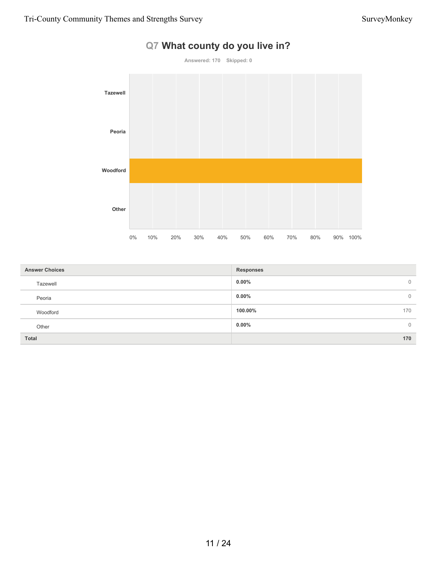

# **Q7 What county do you live in?**

| <b>Answer Choices</b> | <b>Responses</b>         |
|-----------------------|--------------------------|
| Tazewell              | $0.00\%$<br>$\mathbf{0}$ |
| Peoria                | $0.00\%$<br>0            |
| Woodford              | 100.00%<br>170           |
| Other                 | $0.00\%$<br>0            |
| <b>Total</b>          | 170                      |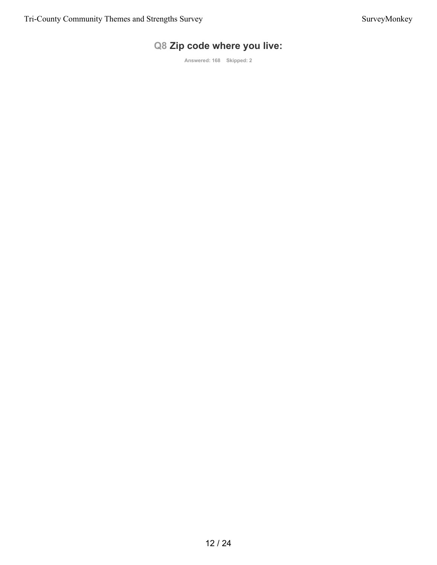# **Q8 Zip code where you live:**

**Answered: 168 Skipped: 2**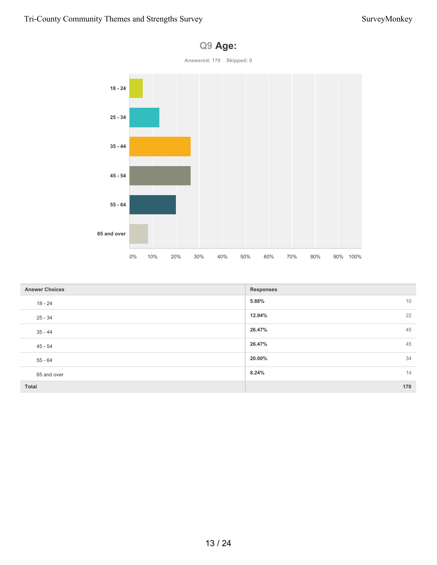

| <b>Answer Choices</b> | <b>Responses</b> |
|-----------------------|------------------|
| $18 - 24$             | 10<br>5.88%      |
| $25 - 34$             | 22<br>12.94%     |
| $35 - 44$             | 45<br>26.47%     |
| $45 - 54$             | 45<br>26.47%     |
| $55 - 64$             | 34<br>20.00%     |
| 65 and over           | 14<br>8.24%      |
| Total                 | 170              |

# **Q9 Age:**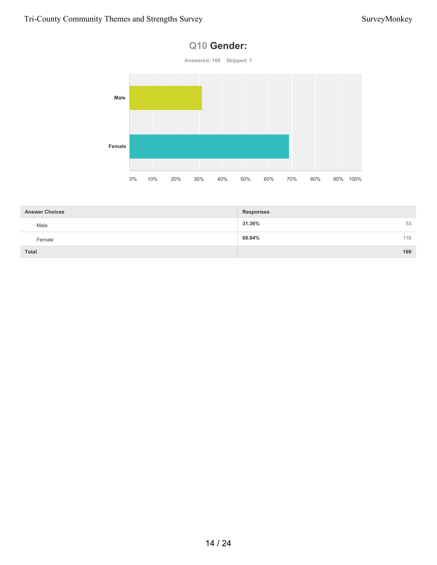## **Q10 Gender:**



| <b>Answer Choices</b> | <b>Responses</b> |     |
|-----------------------|------------------|-----|
| Male                  | 31.36%           | 53  |
| Female                | 68.64%           | 116 |
| <b>Total</b>          |                  | 169 |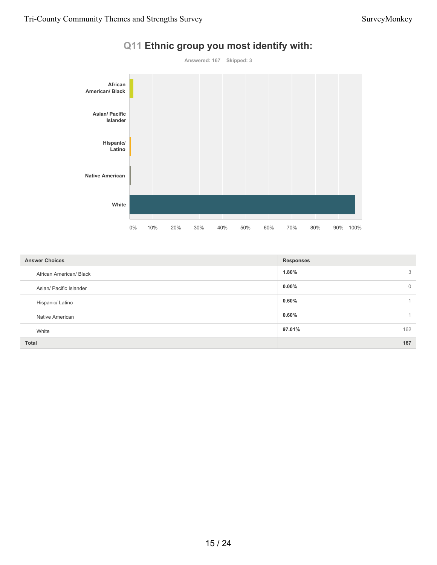

**1.80%** 3 **0.00%** 0 **0.60%** 1 **0.60%** 1 **97.01%** 162 **Total 167 Answer Choices Responses** African American/ Black Asian/ Pacific Islander Hispanic/ Latino Native American White

## **Q11 Ethnic group you most identify with:**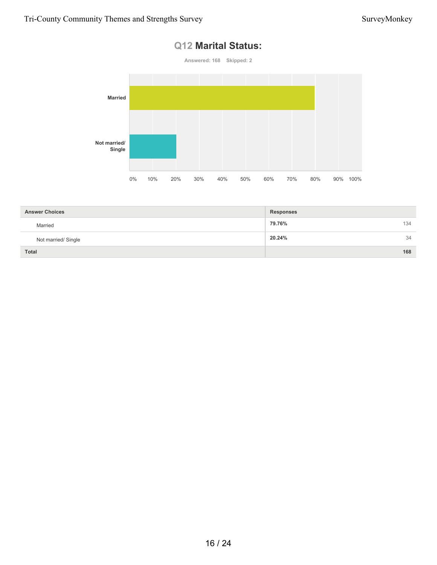# **Q12 Marital Status:**



| <b>Answer Choices</b> | <b>Responses</b> |
|-----------------------|------------------|
| Married               | 79.76%<br>134    |
| Not married/ Single   | 20.24%<br>34     |
| <b>Total</b>          | 168              |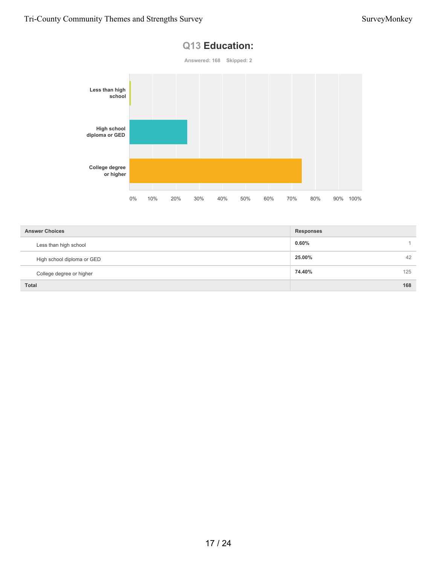

| <b>Answer Choices</b>      | <b>Responses</b> |    |
|----------------------------|------------------|----|
| Less than high school      | $0.60\%$         |    |
| High school diploma or GED | 25.00%           | 42 |
| College degree or higher   | 125<br>74.40%    |    |
| <b>Total</b>               | 168              |    |

# **Q13 Education:**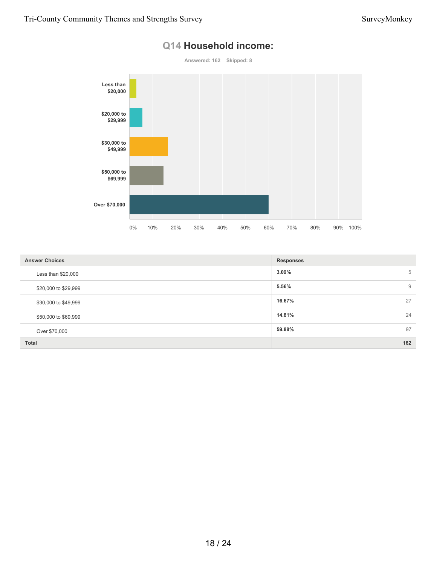

# **Q14 Household income:**

| <b>Answer Choices</b> | <b>Responses</b> |
|-----------------------|------------------|
| Less than $$20,000$   | 3.09%<br>5       |
| \$20,000 to \$29,999  | 5.56%<br>9       |
| \$30,000 to \$49,999  | 27<br>16.67%     |
| \$50,000 to \$69,999  | 24<br>14.81%     |
| Over \$70,000         | 97<br>59.88%     |
| <b>Total</b>          | 162              |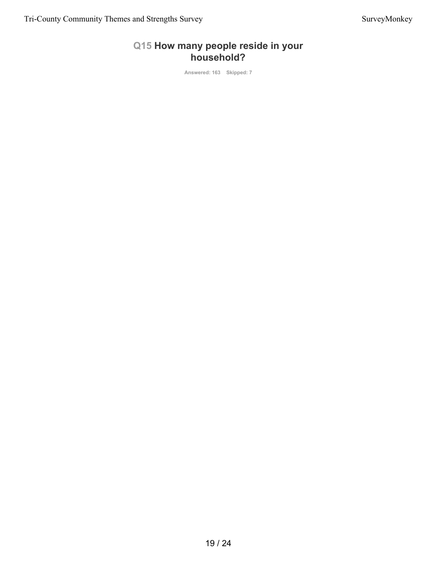# **Q15 How many people reside in your household?**

**Answered: 163 Skipped: 7**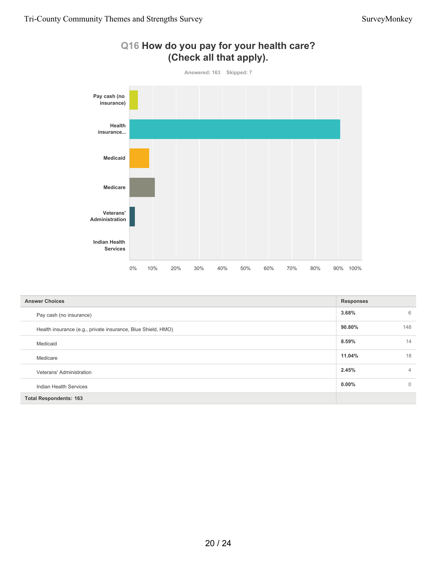

| Q16 How do you pay for your health care? |  |                         |  |
|------------------------------------------|--|-------------------------|--|
|                                          |  | (Check all that apply). |  |

| <b>Answer Choices</b>                                        | <b>Responses</b> |                |
|--------------------------------------------------------------|------------------|----------------|
| Pay cash (no insurance)                                      | 3.68%            | 6              |
| Health insurance (e.g., private insurance, Blue Shield, HMO) | 90.80%           | 148            |
| Medicaid                                                     | 8.59%            | 14             |
| Medicare                                                     | 11.04%           | 18             |
| Veterans' Administration                                     | 2.45%            | $\overline{4}$ |
| Indian Health Services                                       | $0.00\%$         | $\overline{0}$ |
| <b>Total Respondents: 163</b>                                |                  |                |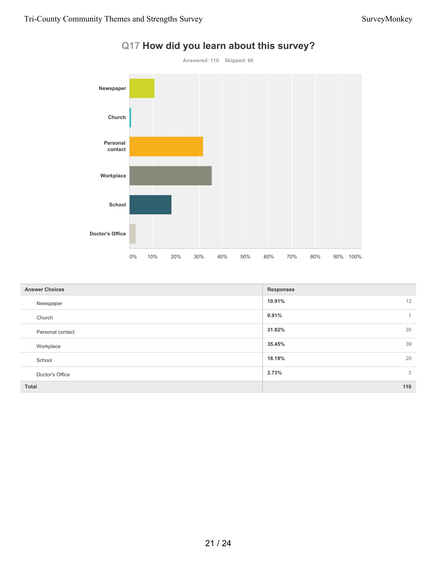

| Q17 How did you learn about this survey? |  |  |  |  |  |
|------------------------------------------|--|--|--|--|--|
|------------------------------------------|--|--|--|--|--|

| <b>Answer Choices</b> | <b>Responses</b>      |
|-----------------------|-----------------------|
| Newspaper             | 12<br>10.91%          |
| Church                | 0.91%<br>$\mathbf{1}$ |
| Personal contact      | 35<br>31.82%          |
| Workplace             | 39<br>35.45%          |
| School                | 20<br>18.18%          |
| Doctor's Office       | 2.73%<br>3            |
| <b>Total</b>          | 110                   |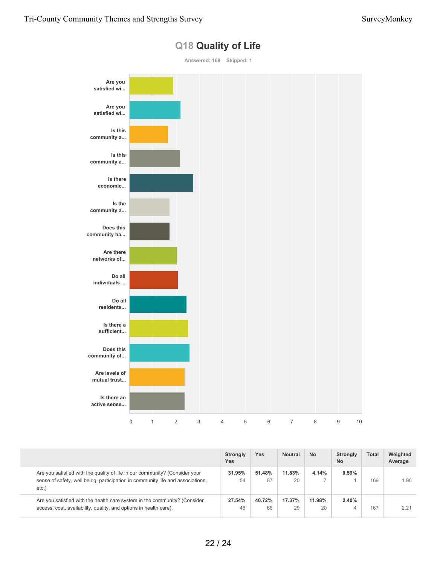

## **Q18 Quality of Life**

|                                                                                                                                                                           | <b>Strongly</b><br><b>Yes</b> | Yes          | <b>Neutral</b> | <b>No</b>    | Strongly<br><b>No</b> | <b>Total</b> | Weighted<br>Average |
|---------------------------------------------------------------------------------------------------------------------------------------------------------------------------|-------------------------------|--------------|----------------|--------------|-----------------------|--------------|---------------------|
| Are you satisfied with the quality of life in our community? (Consider your<br>sense of safety, well being, participation in community life and associations,<br>$etc.$ ) | 31.95%<br>54                  | 51.48%<br>87 | 11.83%<br>20   | 4.14%        | 0.59%                 | 169          | 1.90                |
| Are you satisfied with the health care system in the community? (Consider<br>access, cost, availability, quality, and options in health care).                            | 27.54%<br>46                  | 40.72%<br>68 | 17.37%<br>29   | 11.98%<br>20 | 2.40%                 | 167          | 2.21                |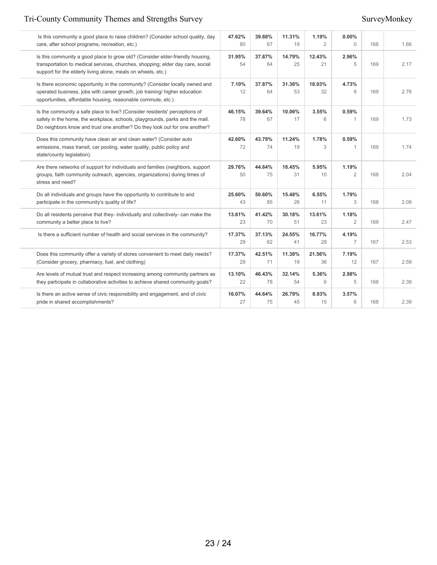# Tri-County Community Themes and Strengths Survey Survey Survey Survey Survey Survey Survey Survey Survey Survey Survey Survey Survey Survey Survey Survey Survey Survey Survey Survey Survey Survey Survey Survey Survey Surve

| Is this community a good place to raise children? (Consider school quality, day<br>care, after school programs, recreation, etc.)                                                                                                        | 47.62%<br>80 | 39.88%<br>67 | 11.31%<br>19 | 1.19%<br>$\overline{2}$ | $0.00\%$<br>$\Omega$    | 168 | 1.66 |
|------------------------------------------------------------------------------------------------------------------------------------------------------------------------------------------------------------------------------------------|--------------|--------------|--------------|-------------------------|-------------------------|-----|------|
| Is this community a good place to grow old? (Consider elder-friendly housing,<br>transportation to medical services, churches, shopping; elder day care, social<br>support for the elderly living alone, meals on wheels, etc.)          | 31.95%<br>54 | 37.87%<br>64 | 14.79%<br>25 | 12.43%<br>21            | 2.96%<br>5              | 169 | 2.17 |
| Is there economic opportunity in the community? (Consider locally owned and<br>operated business, jobs with career growth, job training/ higher education<br>opportunities, affordable housing, reasonable commute, etc.)                | 7.10%<br>12  | 37.87%<br>64 | 31.36%<br>53 | 18.93%<br>32            | 4.73%<br>8              | 169 | 2.76 |
| Is the community a safe place to live? (Consider residents' perceptions of<br>safety in the home, the workplace, schools, playgrounds, parks and the mall.<br>Do neighbors know and trust one another? Do they look out for one another? | 46.15%<br>78 | 39.64%<br>67 | 10.06%<br>17 | 3.55%<br>6              | 0.59%<br>1              | 169 | 1.73 |
| Does this community have clean air and clean water? (Consider auto<br>emissions, mass transit, car pooling, water quality, public policy and<br>state/county legislation).                                                               | 42.60%<br>72 | 43.79%<br>74 | 11.24%<br>19 | 1.78%<br>3              | 0.59%<br>1              | 169 | 1.74 |
| Are there networks of support for individuals and families (neighbors, support<br>groups, faith community outreach, agencies, organizations) during times of<br>stress and need?                                                         | 29.76%<br>50 | 44.64%<br>75 | 18.45%<br>31 | 5.95%<br>10             | 1.19%<br>$\overline{2}$ | 168 | 2.04 |
| Do all individuals and groups have the opportunity to contribute to and<br>participate in the community's quality of life?                                                                                                               | 25.60%<br>43 | 50.60%<br>85 | 15.48%<br>26 | 6.55%<br>11             | 1.79%<br>3              | 168 | 2.08 |
| Do all residents perceive that they- individually and collectively- can make the<br>community a better place to live?                                                                                                                    | 13.61%<br>23 | 41.42%<br>70 | 30.18%<br>51 | 13.61%<br>23            | 1.18%<br>$\overline{2}$ | 169 | 2.47 |
| Is there a sufficient number of health and social services in the community?                                                                                                                                                             | 17.37%<br>29 | 37.13%<br>62 | 24.55%<br>41 | 16.77%<br>28            | 4.19%<br>$\overline{7}$ | 167 | 2.53 |
| Does this community offer a variety of stores convenient to meet daily needs?<br>(Consider grocery, pharmacy, fuel, and clothing)                                                                                                        | 17.37%<br>29 | 42.51%<br>71 | 11.38%<br>19 | 21.56%<br>36            | 7.19%<br>12             | 167 | 2.59 |
| Are levels of mutual trust and respect increasing among community partners as<br>they participate in collaborative activities to achieve shared community goals?                                                                         | 13.10%<br>22 | 46.43%<br>78 | 32.14%<br>54 | 5.36%<br>9              | 2.98%<br>5              | 168 | 2.39 |
| Is there an active sense of civic responsibility and engagement, and of civic<br>pride in shared accomplishments?                                                                                                                        | 16.07%<br>27 | 44.64%<br>75 | 26.79%<br>45 | 8.93%<br>15             | 3.57%<br>6              | 168 | 2.39 |